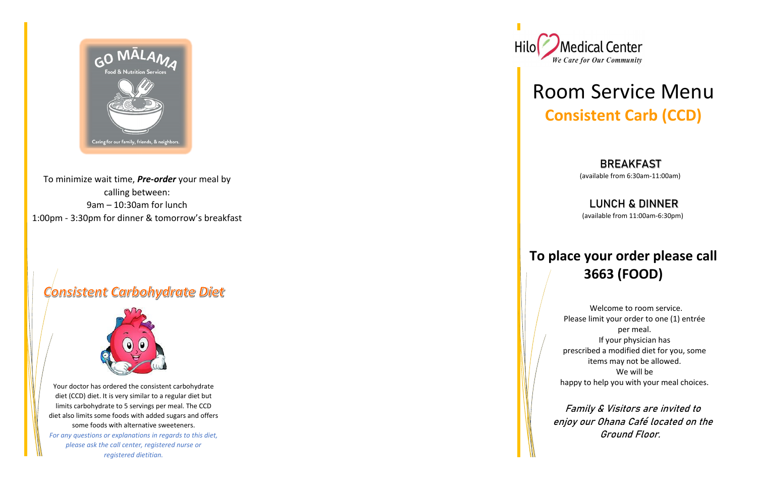

To minimize wait time, *Pre-order* your meal by calling between: 9am – 10:30am for lunch 1:00pm - 3:30pm for dinner & tomorrow's breakfast

## Consistent Carbohydrate Diet



### BREAKFAST

Your doctor has ordered the consistent carbohydrate diet (CCD) diet. It is very similar to a regular diet but limits carbohydrate to 5 servings per meal. The CCD diet also limits some foods with added sugars and offers some foods with alternative sweeteners. *For any questions or explanations in regards to this diet,* 

*please ask the call center, registered nurse or registered dietitian.*



# Room Service Menu **Consistent Carb (CCD)**

(available from 6:30am-11:00am)

### LUNCH & DINNER

(available from 11:00am-6:30pm)

## **To place your order please call 3663 (FOOD)**

 Welcome to room service. Please limit your order to one (1) entrée per meal. If your physician has prescribed a modified diet for you, some items may not be allowed. We will be happy to help you with your meal choices.

 Family & Visitors are invited to enjoy our Ohana Café located on the Ground Floor.